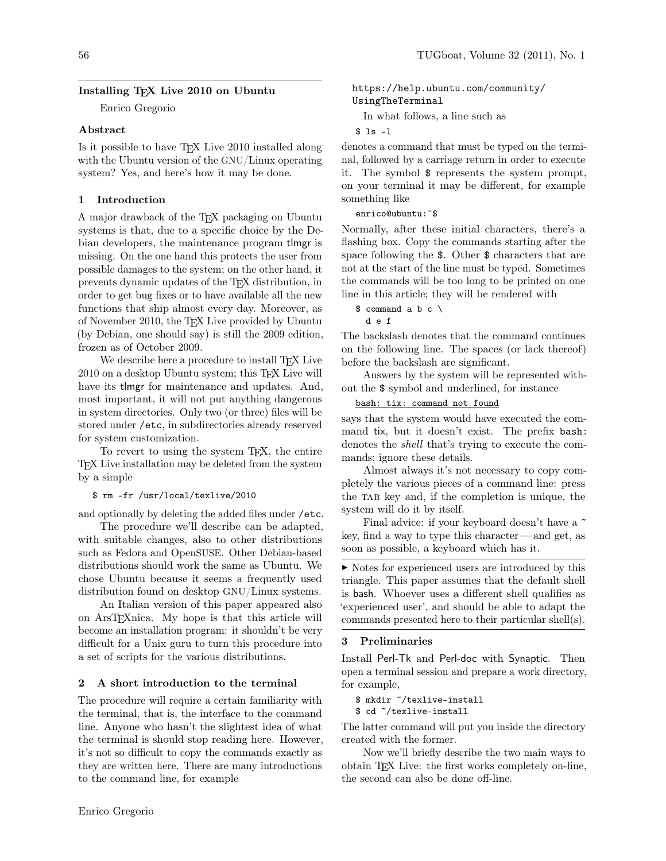### Installing TEX Live 2010 on Ubuntu

Enrico Gregorio

#### Abstract

Is it possible to have TEX Live 2010 installed along with the Ubuntu version of the GNU/Linux operating system? Yes, and here's how it may be done.

#### 1 Introduction

A major drawback of the TEX packaging on Ubuntu systems is that, due to a specific choice by the Debian developers, the maintenance program tlmgr is missing. On the one hand this protects the user from possible damages to the system; on the other hand, it prevents dynamic updates of the TEX distribution, in order to get bug fixes or to have available all the new functions that ship almost every day. Moreover, as of November 2010, the TEX Live provided by Ubuntu (by Debian, one should say) is still the 2009 edition, frozen as of October 2009.

We describe here a procedure to install T<sub>E</sub>X Live 2010 on a desktop Ubuntu system; this TEX Live will have its tlmgr for maintenance and updates. And, most important, it will not put anything dangerous in system directories. Only two (or three) files will be stored under /etc, in subdirectories already reserved for system customization.

To revert to using the system TEX, the entire TEX Live installation may be deleted from the system by a simple

\$ rm -fr /usr/local/texlive/2010

and optionally by deleting the added files under /etc.

The procedure we'll describe can be adapted, with suitable changes, also to other distributions such as Fedora and OpenSUSE. Other Debian-based distributions should work the same as Ubuntu. We chose Ubuntu because it seems a frequently used distribution found on desktop GNU/Linux systems.

An Italian version of this paper appeared also on ArsTEXnica. My hope is that this article will become an installation program: it shouldn't be very difficult for a Unix guru to turn this procedure into a set of scripts for the various distributions.

#### 2 A short introduction to the terminal

The procedure will require a certain familiarity with the terminal, that is, the interface to the command line. Anyone who hasn't the slightest idea of what the terminal is should stop reading here. However, it's not so difficult to copy the commands exactly as they are written here. There are many introductions to the command line, for example

[https://help.ubuntu.com/community/](https://help.ubuntu.com/community/UsingTheTerminal) [UsingTheTerminal](https://help.ubuntu.com/community/UsingTheTerminal)

In what follows, a line such as

```
$ ls -l
```
denotes a command that must be typed on the terminal, followed by a carriage return in order to execute it. The symbol \$ represents the system prompt, on your terminal it may be different, for example something like

enrico@ubuntu:~\$

Normally, after these initial characters, there's a flashing box. Copy the commands starting after the space following the \$. Other \$ characters that are not at the start of the line must be typed. Sometimes the commands will be too long to be printed on one line in this article; they will be rendered with

 $$ command a b c \$ d e f

The backslash denotes that the command continues on the following line. The spaces (or lack thereof) before the backslash are significant.

Answers by the system will be represented without the \$ symbol and underlined, for instance

```
bash: tix: command not found
```
says that the system would have executed the command tix, but it doesn't exist. The prefix bash: denotes the shell that's trying to execute the commands; ignore these details.

Almost always it's not necessary to copy completely the various pieces of a command line: press the TAB key and, if the completion is unique, the system will do it by itself.

Final advice: if your keyboard doesn't have a  $\tilde{ }$ key, find a way to type this character— and get, as soon as possible, a keyboard which has it.

 $\triangleright$  Notes for experienced users are introduced by this triangle. This paper assumes that the default shell is bash. Whoever uses a different shell qualifies as 'experienced user', and should be able to adapt the commands presented here to their particular shell(s).

#### 3 Preliminaries

Install Perl-Tk and Perl-doc with Synaptic. Then open a terminal session and prepare a work directory, for example,

```
$ mkdir ~/texlive-install
$ cd ~/texlive-install
```
The latter command will put you inside the directory created with the former.

Now we'll briefly describe the two main ways to obtain TEX Live: the first works completely on-line, the second can also be done off-line.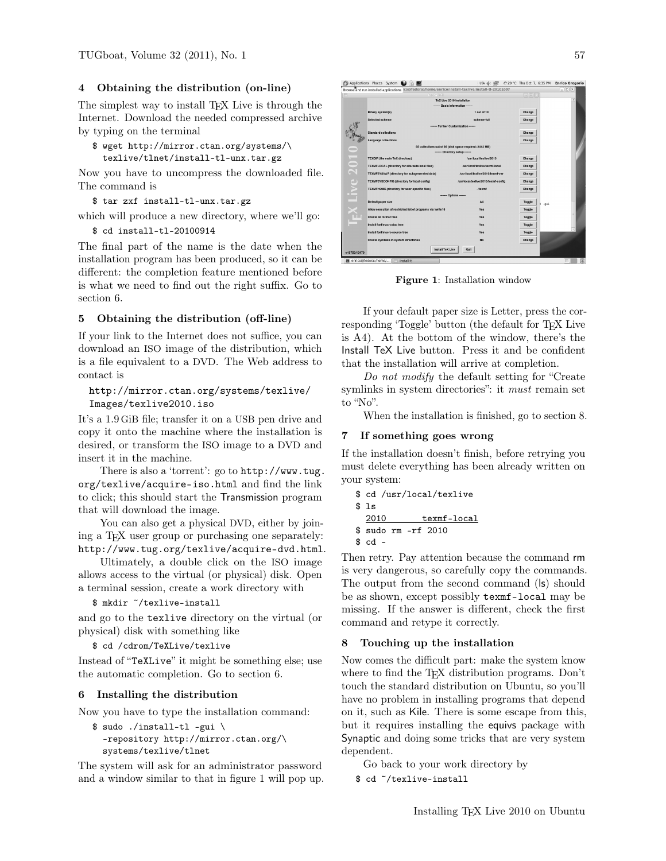### 4 Obtaining the distribution (on-line)

The simplest way to install T<sub>EX</sub> Live is through the Internet. Download the needed compressed archive by typing on the terminal

```
$ wget http://mirror.ctan.org/systems/\
  texlive/tlnet/install-tl-unx.tar.gz
```
Now you have to uncompress the downloaded file. The command is

```
$ tar zxf install-tl-unx.tar.gz
```
which will produce a new directory, where we'll go:

```
$ cd install-tl-20100914
```
The final part of the name is the date when the installation program has been produced, so it can be different: the completion feature mentioned before is what we need to find out the right suffix. Go to section [6.](#page-1-0)

#### 5 Obtaining the distribution (off-line)

If your link to the Internet does not suffice, you can download an ISO image of the distribution, which is a file equivalent to a DVD. The Web address to contact is

# [http://mirror.ctan.org/systems/texlive/](http://mirror.ctan.org/systems/texlive/Images/texlive2010.iso) [Images/texlive2010.iso](http://mirror.ctan.org/systems/texlive/Images/texlive2010.iso)

It's a 1.9 GiB file; transfer it on a USB pen drive and copy it onto the machine where the installation is desired, or transform the ISO image to a DVD and insert it in the machine.

There is also a 'torrent': go to [http://www.tug.](http://www.tug.org/texlive/acquire-iso.html) [org/texlive/acquire-iso.html](http://www.tug.org/texlive/acquire-iso.html) and find the link to click; this should start the Transmission program that will download the image.

You can also get a physical DVD, either by joining a T<sub>F</sub>X user group or purchasing one separately: <http://www.tug.org/texlive/acquire-dvd.html>.

Ultimately, a double click on the ISO image allows access to the virtual (or physical) disk. Open a terminal session, create a work directory with

```
$ mkdir ~/texlive-install
```
and go to the texlive directory on the virtual (or physical) disk with something like

```
$ cd /cdrom/TeXLive/texlive
```
Instead of "TeXLive" it might be something else; use the automatic completion. Go to section [6.](#page-1-0)

### <span id="page-1-0"></span>6 Installing the distribution

Now you have to type the installation command:

```
$ sudo ./install-tl -gui \
  -repository http://mirror.ctan.org/\
 systems/texlive/tlnet
```
The system will ask for an administrator password and a window similar to that in figure [1](#page-1-1) will pop up.



Figure 1: Installation window

<span id="page-1-1"></span>If your default paper size is Letter, press the corresponding 'Toggle' button (the default for TFX Live is A4). At the bottom of the window, there's the Install TeX Live button. Press it and be confident that the installation will arrive at completion.

Do not modify the default setting for "Create symlinks in system directories": it *must* remain set to "No".

When the installation is finished, go to section [8.](#page-1-2)

# 7 If something goes wrong

If the installation doesn't finish, before retrying you must delete everything has been already written on your system:

```
$ cd /usr/local/texlive
$1<sub>5</sub>2010 texmf-local
$ sudo rm -rf 2010
$ cd -
```
Then retry. Pay attention because the command rm is very dangerous, so carefully copy the commands. The output from the second command (ls) should be as shown, except possibly texmf-local may be missing. If the answer is different, check the first command and retype it correctly.

#### <span id="page-1-2"></span>8 Touching up the installation

Now comes the difficult part: make the system know where to find the T<sub>E</sub>X distribution programs. Don't touch the standard distribution on Ubuntu, so you'll have no problem in installing programs that depend on it, such as Kile. There is some escape from this, but it requires installing the equivs package with Synaptic and doing some tricks that are very system dependent.

Go back to your work directory by

\$ cd ~/texlive-install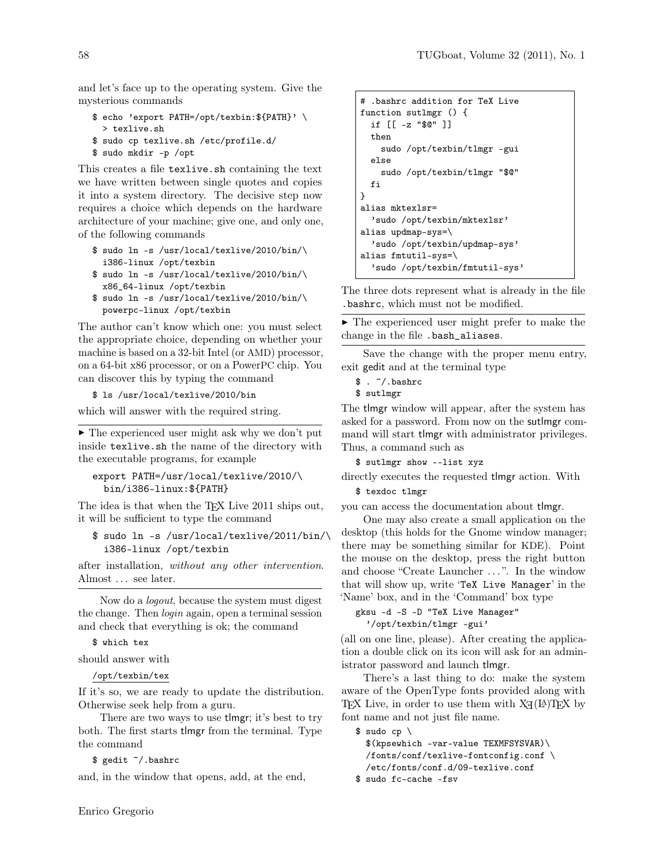and let's face up to the operating system. Give the mysterious commands

```
$ echo 'export PATH=/opt/texbin:${PATH}' \
  > texlive.sh
$ sudo cp texlive.sh /etc/profile.d/
$ sudo mkdir -p /opt
```
This creates a file texlive.sh containing the text we have written between single quotes and copies it into a system directory. The decisive step now requires a choice which depends on the hardware architecture of your machine; give one, and only one, of the following commands

```
$ sudo ln -s /usr/local/texlive/2010/bin/\
  i386-linux /opt/texbin
$ sudo ln -s /usr/local/texlive/2010/bin/\
```

```
x86_64-linux /opt/texbin
$ sudo ln -s /usr/local/texlive/2010/bin/\
  powerpc-linux /opt/texbin
```
The author can't know which one: you must select the appropriate choice, depending on whether your machine is based on a 32-bit Intel (or AMD) processor, on a 64-bit x86 processor, or on a PowerPC chip. You can discover this by typing the command

\$ ls /usr/local/texlive/2010/bin

which will answer with the required string.

 $\blacktriangleright$  The experienced user might ask why we don't put inside texlive.sh the name of the directory with the executable programs, for example

```
export PATH=/usr/local/texlive/2010/\
 bin/i386-linux:${PATH}
```
The idea is that when the T<sub>E</sub>X Live 2011 ships out, it will be sufficient to type the command

```
$ sudo ln -s /usr/local/texlive/2011/bin/\
  i386-linux /opt/texbin
```
after installation, without any other intervention. Almost ... see later.

Now do a logout, because the system must digest the change. Then login again, open a terminal session and check that everything is ok; the command

\$ which tex

should answer with

/opt/texbin/tex

If it's so, we are ready to update the distribution. Otherwise seek help from a guru.

There are two ways to use tlmgr; it's best to try both. The first starts tlmgr from the terminal. Type the command

\$ gedit ~/.bashrc

and, in the window that opens, add, at the end,

```
# .bashrc addition for TeX Live
function sutlmgr () {
  if [[ -z "$@" ]]
  then
    sudo /opt/texbin/tlmgr -gui
  else
    sudo /opt/texbin/tlmgr "$@"
  fi
}
alias mktexlsr=
  'sudo /opt/texbin/mktexlsr'
alias updmap-sys=\
  'sudo /opt/texbin/updmap-sys'
alias fmtutil-sys=\
  'sudo /opt/texbin/fmtutil-sys'
```
The three dots represent what is already in the file .bashrc, which must not be modified.

 $\blacktriangleright$  The experienced user might prefer to make the change in the file .bash\_aliases.

Save the change with the proper menu entry, exit gedit and at the terminal type

```
\frac{1}{2}. \frac{1}{2} . \frac{1}{2} . bashrc
```

```
$ sutlmgr
```
The tlmgr window will appear, after the system has asked for a password. From now on the sutlmgr command will start tlmgr with administrator privileges. Thus, a command such as

\$ sutlmgr show --list xyz

```
directly executes the requested tlmgr action. With
```
\$ texdoc tlmgr

you can access the documentation about tlmgr.

One may also create a small application on the desktop (this holds for the Gnome window manager; there may be something similar for KDE). Point the mouse on the desktop, press the right button and choose "Create Launcher ...". In the window that will show up, write 'TeX Live Manager' in the 'Name' box, and in the 'Command' box type

```
gksu -d -S -D "TeX Live Manager"
```

```
'/opt/texbin/tlmgr -gui'
```
(all on one line, please). After creating the application a double click on its icon will ask for an administrator password and launch tlmgr.

There's a last thing to do: make the system aware of the OpenType fonts provided along with TEX Live, in order to use them with  $X_{\mathcal{H}}(\mathbb{A})$ TEX by font name and not just file name.

 $$$  sudo cp  $\setminus$ \$(kpsewhich -var-value TEXMFSYSVAR)\ /fonts/conf/texlive-fontconfig.conf \ /etc/fonts/conf.d/09-texlive.conf \$ sudo fc-cache -fsv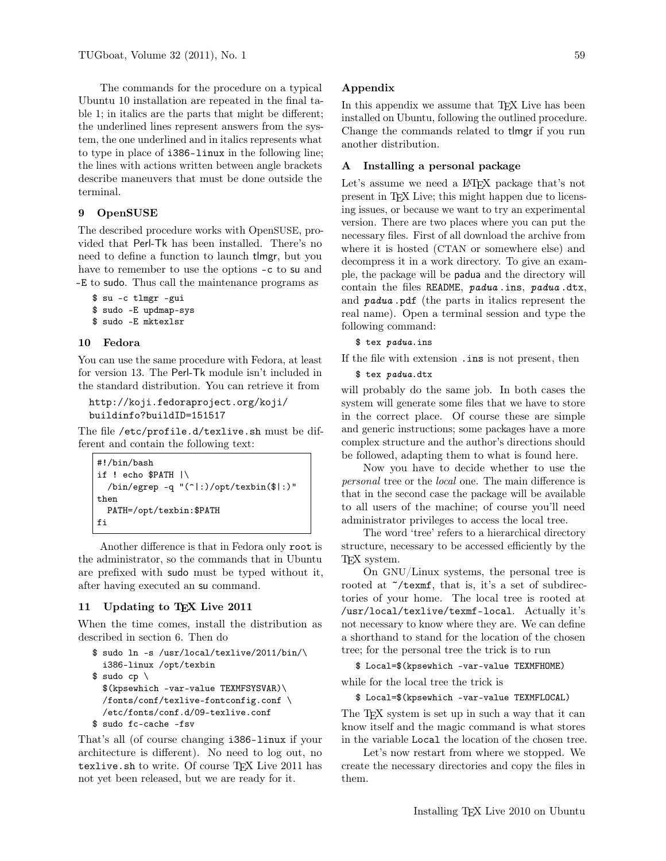The commands for the procedure on a typical Ubuntu 10 installation are repeated in the final table [1;](#page-5-0) in italics are the parts that might be different; the underlined lines represent answers from the system, the one underlined and in italics represents what to type in place of i386-linux in the following line; the lines with actions written between angle brackets describe maneuvers that must be done outside the terminal.

### 9 OpenSUSE

The described procedure works with OpenSUSE, provided that Perl-Tk has been installed. There's no need to define a function to launch tlmgr, but you have to remember to use the options -c to su and -E to sudo. Thus call the maintenance programs as

```
$ su -c tlmgr -gui
$ sudo -E updmap-sys
$ sudo -E mktexlsr
```
#### 10 Fedora

You can use the same procedure with Fedora, at least for version 13. The Perl-Tk module isn't included in the standard distribution. You can retrieve it from

```
http://koji.fedoraproject.org/koji/
buildinfo?buildID=151517
```
The file /etc/profile.d/texlive.sh must be different and contain the following text:

```
#!/bin/bash
if ! echo $PATH |\
  /bin/egrep -q "(^|:)/opt/texbin($|:)"
then
  PATH=/opt/texbin:$PATH
fi
```
Another difference is that in Fedora only root is the administrator, so the commands that in Ubuntu are prefixed with sudo must be typed without it, after having executed an su command.

#### 11 Updating to TEX Live 2011

When the time comes, install the distribution as described in section [6.](#page-1-0) Then do

```
$ sudo ln -s /usr/local/texlive/2011/bin/\
  i386-linux /opt/texbin
$ sudo cp \setminus$(kpsewhich -var-value TEXMFSYSVAR)\
  /fonts/conf/texlive-fontconfig.conf \
  /etc/fonts/conf.d/09-texlive.conf
$ sudo fc-cache -fsv
```
That's all (of course changing i386-linux if your architecture is different). No need to log out, no texlive.sh to write. Of course TFX Live 2011 has not yet been released, but we are ready for it.

In this appendix we assume that T<sub>EX</sub> Live has been installed on Ubuntu, following the outlined procedure. Change the commands related to tlmgr if you run another distribution.

# A Installing a personal package

Let's assume we need a L<sup>A</sup>T<sub>EX</sub> package that's not present in TEX Live; this might happen due to licensing issues, or because we want to try an experimental version. There are two places where you can put the necessary files. First of all download the archive from where it is hosted (CTAN or somewhere else) and decompress it in a work directory. To give an example, the package will be padua and the directory will contain the files README, padua.ins, padua.dtx, and padua .pdf (the parts in italics represent the real name). Open a terminal session and type the following command:

\$ tex padua.ins

If the file with extension .ins is not present, then

\$ tex padua.dtx

will probably do the same job. In both cases the system will generate some files that we have to store in the correct place. Of course these are simple and generic instructions; some packages have a more complex structure and the author's directions should be followed, adapting them to what is found here.

Now you have to decide whether to use the personal tree or the local one. The main difference is that in the second case the package will be available to all users of the machine; of course you'll need administrator privileges to access the local tree.

The word 'tree' refers to a hierarchical directory structure, necessary to be accessed efficiently by the TEX system.

On GNU/Linux systems, the personal tree is rooted at  $\tilde{\phantom{a}}$ /texmf, that is, it's a set of subdirectories of your home. The local tree is rooted at /usr/local/texlive/texmf-local. Actually it's not necessary to know where they are. We can define a shorthand to stand for the location of the chosen tree; for the personal tree the trick is to run

\$ Local=\$(kpsewhich -var-value TEXMFHOME)

while for the local tree the trick is

\$ Local=\$(kpsewhich -var-value TEXMFLOCAL)

The T<sub>F</sub>X system is set up in such a way that it can know itself and the magic command is what stores in the variable Local the location of the chosen tree.

Let's now restart from where we stopped. We create the necessary directories and copy the files in them.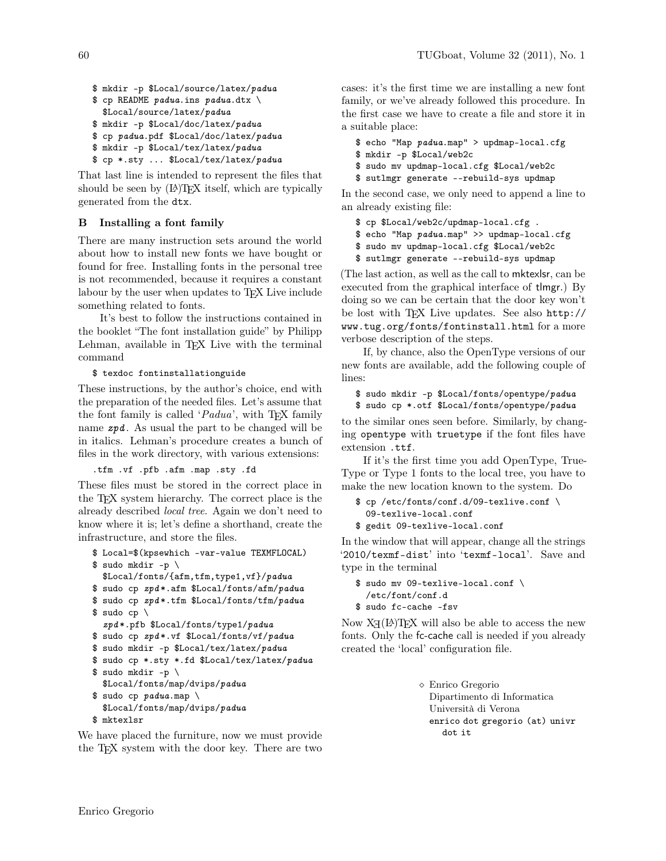\$ mkdir -p \$Local/source/latex/padua

```
$ cp README padua.ins padua.dtx \
```

```
$Local/source/latex/padua
```

```
$ mkdir -p $Local/doc/latex/padua
```

```
$ cp padua.pdf $Local/doc/latex/padua
$ mkdir -p $Local/tex/latex/padua
```

```
$ cp *.sty ... $Local/tex/latex/padua
```
That last line is intended to represent the files that should be seen by  $(E)$ TEX itself, which are typically generated from the dtx.

# B Installing a font family

There are many instruction sets around the world about how to install new fonts we have bought or found for free. Installing fonts in the personal tree is not recommended, because it requires a constant labour by the user when updates to T<sub>E</sub>X Live include something related to fonts.

It's best to follow the instructions contained in the booklet "The font installation guide" by Philipp Lehman, available in TEX Live with the terminal command

\$ texdoc fontinstallationguide

These instructions, by the author's choice, end with the preparation of the needed files. Let's assume that the font family is called ' $Padua$ ', with T<sub>E</sub>X family name  $zpd$ . As usual the part to be changed will be in italics. Lehman's procedure creates a bunch of files in the work directory, with various extensions:

# .tfm .vf .pfb .afm .map .sty .fd

These files must be stored in the correct place in the TEX system hierarchy. The correct place is the already described local tree. Again we don't need to know where it is; let's define a shorthand, create the infrastructure, and store the files.

```
$ Local=$(kpsewhich -var-value TEXMFLOCAL)
$ sudo mkdir -p \
  $Local/fonts/{afm,tfm,type1,vf}/padua
$ sudo cp zpd*.afm $Local/fonts/afm/padua
$ sudo cp zpd*.tfm $Local/fonts/tfm/padua
$ sudo cp \setminuszpd *.pfb $Local/fonts/type1/padua
$ sudo cp zpd*.vf $Local/fonts/vf/padua
$ sudo mkdir -p $Local/tex/latex/padua
$ sudo cp *.sty *.fd $Local/tex/latex/padua
$ sudo mkdir -p \
  $Local/fonts/map/dvips/padua
$ sudo cp padua.map \
  $Local/fonts/map/dvips/padua
$ mktexlsr
```
We have placed the furniture, now we must provide the TEX system with the door key. There are two

cases: it's the first time we are installing a new font family, or we've already followed this procedure. In the first case we have to create a file and store it in a suitable place:

\$ echo "Map padua.map" > updmap-local.cfg

```
$ mkdir -p $Local/web2c
```
\$ sudo mv updmap-local.cfg \$Local/web2c

\$ sutlmgr generate --rebuild-sys updmap

In the second case, we only need to append a line to an already existing file:

\$ cp \$Local/web2c/updmap-local.cfg .

\$ echo "Map padua.map" >> updmap-local.cfg

\$ sudo mv updmap-local.cfg \$Local/web2c

\$ sutlmgr generate --rebuild-sys updmap

(The last action, as well as the call to mktexlsr, can be executed from the graphical interface of tlmgr.) By doing so we can be certain that the door key won't be lost with TEX Live updates. See also [http://](http://www.tug.org/fonts/fontinstall.html) [www.tug.org/fonts/fontinstall.html](http://www.tug.org/fonts/fontinstall.html) for a more verbose description of the steps.

If, by chance, also the OpenType versions of our new fonts are available, add the following couple of lines:

\$ sudo mkdir -p \$Local/fonts/opentype/padua \$ sudo cp \*.otf \$Local/fonts/opentype/padua

to the similar ones seen before. Similarly, by changing opentype with truetype if the font files have extension .ttf.

If it's the first time you add OpenType, True-Type or Type 1 fonts to the local tree, you have to make the new location known to the system. Do

```
$ cp /etc/fonts/conf.d/09-texlive.conf \
  09-texlive-local.conf
$ gedit 09-texlive-local.conf
```
In the window that will appear, change all the strings '2010/texmf-dist' into 'texmf-local'. Save and type in the terminal

```
$ sudo mv 09-texlive-local.conf \
  /etc/font/conf.d
$ sudo fc-cache -fsv
```
Now  $X_{\overline{A}}(\mathbb{A})$ TEX will also be able to access the new fonts. Only the fc-cache call is needed if you already created the 'local' configuration file.

> Enrico Gregorio Dipartimento di Informatica Università di Verona enrico dot gregorio (at) univr dot it